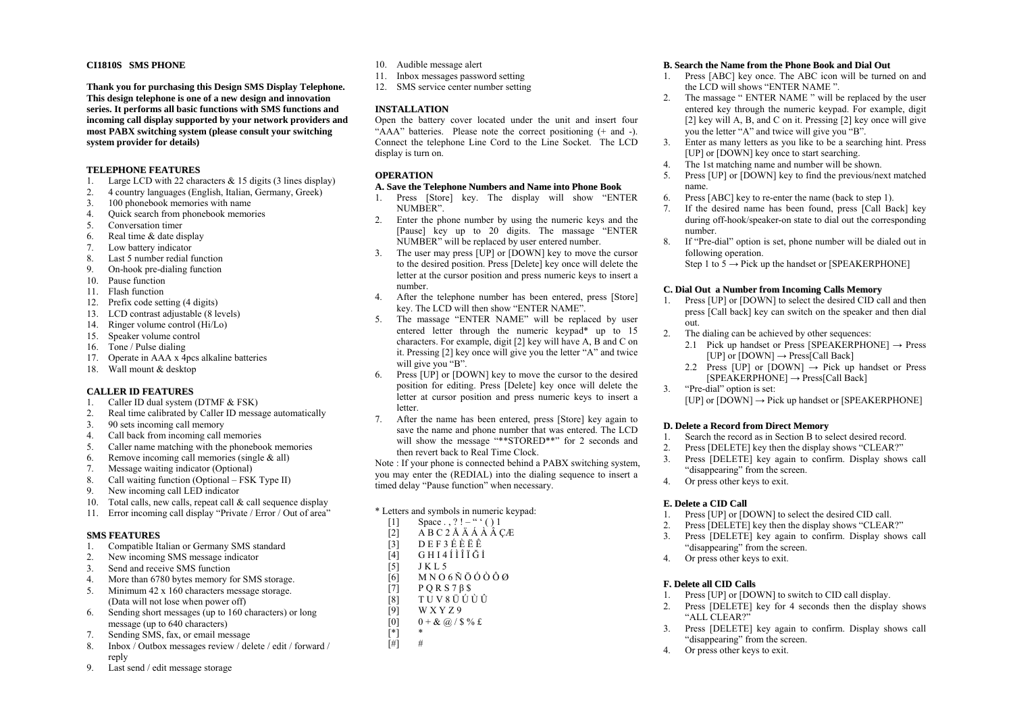#### **CI1810S SMS PHONE**

**Thank you for purchasing this Design SMS Display Telephone. This design telephone is one of a new design and innovation series. It performs all basic functions with SMS functions and incoming call display supported by your network providers and most PABX switching system (please consult your switching system provider for details)** 

#### **TELEPHONEFEATURES**

- Large LCD with 22 characters  $& 15$  digits (3 lines display) 1.
- 2.4 country languages (English, Italian, Germany, Greek)
- 3.100 phonebook memories with name
- 4.Quick search from phonebook memories
- 5.Conversation timer
- 6.Real time & date display
- 7.Low battery indicator
- 8.Last 5 number redial function
- 9.On-hook pre-dialing function
- 10.Pause function
- 11.Flash function
- 12. Prefix code setting (4 digits)
- 13.LCD contrast adjustable (8 levels)
- 14.Ringer volume control (Hi/Lo)
- 15. Speaker volume control
- 16. Tone / Pulse dialing
- 17. Operate in AAA x 4pcs alkaline batteries
- 18. Wall mount & desktop

#### **CALLER ID FEATURES**

- Caller ID dual system (DTMF & FSK) 1.
- $2^{\circ}$ Real time calibrated by Caller ID message automatically
- 3.90 sets incoming call memory
- 4.Call back from incoming call memories
- 5.Caller name matching with the phonebook memories
- 6.Remove incoming call memories (single & all)
- 7.Message waiting indicator (Optional)
- 8.Call waiting function (Optional – FSK Type II)
- 9.New incoming call LED indicator
- 10.Total calls, new calls, repeat call & call sequence display
- 11. Error incoming call display "Private / Error / Out of area"

#### **SMS FEATURES**

- Compatible Italian or Germany SMS standard 1.
- 2.New incoming SMS message indicator
- 3.Send and receive SMS function
- 4. More than 6780 bytes memory for SMS storage. 5.Minimum 42 x 160 characters message storage.
- (Data will not lose when power off)
- 6. Sending short messages (up to 160 characters) or long message (up to 640 characters)
- 7.Sending SMS, fax, or email message
- 8. Inbox / Outbox messages review / delete / edit / forward / reply
- 9.Last send / edit message storage
- 10. Audible message alert
- 11. Inbox messages password setting
- 12. SMS service center number setting

#### **INSTALLATION**

Open the battery cover located under the unit and insert four "AAA" batteries. Please note the correct positioning (+ and -). Connect the telephone Line Cord to the Line Socket. The LCD display is turn on.

### **OPERATION**

# **A. Save the Telephone Numbers and Name into Phone Book**

- 1. Press [Store] key. The display will show "ENTER NUMBER".
- 2. Enter the phone number by using the numeric keys and the [Pause] key up to 20 digits. The massage "ENTER NUMBER" will be replaced by user entered number.
- 3. The user may press [UP] or [DOWN] key to move the cursor to the desired position. Press [Delete] key once will delete the letter at the cursor position and press numeric keys to insert a number.
- 4. After the telephone number has been entered, press [Store] key. The LCD will then show "ENTER NAME".
- 5. The massage "ENTER NAME" will be replaced by user entered letter through the numeric keypad\* up to 15 characters. For example, digit [2] key will have A, B and C on it. Pressing [2] key once will give you the letter "A" and twice will give you "B".
- 6. Press [UP] or [DOWN] key to move the cursor to the desired position for editing. Press [Delete] key once will delete the letter at cursor position and press numeric keys to insert a **letter**
- 7. After the name has been entered, press [Store] key again to save the name and phone number that was entered. The LCD will show the message "\*\*STORED\*\*" for 2 seconds and then revert back to Real Time Clock.

Note : If your phone is connected behind a PABX switching system, you may enter the (REDIAL) into the dialing sequence to insert a timed delay "Pause function" when necessary.

#### \* Letters and symbols in numeric keypad:

- [1] Space . , ? ! " ' ( ) 1
- $[2]$  A B C 2 Å Å Å Å Å  $\hat{A}$   $\hat{C}$
- $\begin{bmatrix} 3 \end{bmatrix}$  DEF3ÉÈËÊ
- [4] GHI4ÍÌÎÏĞİ
- [5] J K L 5
- $[6]$  MNO6ÑÖÓÒÔØ
- $\overline{7}$  P Q R S 7  $\beta$  \$
- [8] T U V 8 Ü Ú Ù Û
- [9] W X Y Z 9

 $\begin{bmatrix} * \\ \end{bmatrix}$  \*  $[#]$ 

 $[0]$  0 + & @ / \$ % £

#### **B. Search the Name from the Phone Book and Dial Out**

- 1. Press [ABC] key once. The ABC icon will be turned on and the LCD will shows "ENTER NAME ".
- 2. The massage " ENTER NAME " will be replaced by the user entered key through the numeric keypad. For example, digit [2] key will A, B, and C on it. Pressing [2] key once will give you the letter "A" and twice will give you "B".
- 3. Enter as many letters as you like to be a searching hint. Press [UP] or [DOWN] key once to start searching.
- 4.The 1st matching name and number will be shown.
- 5. Press [UP] or [DOWN] key to find the previous/next matched name.
- 6.Press [ABC] key to re-enter the name (back to step 1).
- 7. If the desired name has been found, press [Call Back] key during off-hook/speaker-on state to dial out the corresponding number.
- 8. If "Pre-dial" option is set, phone number will be dialed out in following operation.
- Step 1 to  $5 \rightarrow$  Pick up the handset or [SPEAKERPHONE]

#### **C. Dial Out <sup>a</sup> Number from Incoming Calls Memory**

- 1. Press [UP] or [DOWN] to select the desired CID call and then press [Call back] key can switch on the speaker and then dial out.
- 2. The dialing can be achieved by other sequences:
	- 2.1 Pick up handset or Press [SPEAKERPHONE]  $\rightarrow$  Press [UP] or  $\text{[DOWN]} \rightarrow \text{Press[Call Back]}$
	- 2.2 Press [UP] or [DOWN]  $\rightarrow$  Pick up handset or Press [SPEAKERPHONE] <sup>→</sup> Press[Call Back]
- 3."Pre-dial" option is set:
- [UP] or  $[DOWN] \rightarrow Pick$  up handset or  $[SPECAKERPHONE]$

#### **D. Delete a Record fromDirect Memory**

- Search the record as in Section B to select desired record. 1.
- 2.Press [DELETE] key then the display shows "CLEAR?"
- 3. Press [DELETE] key again to confirm. Display shows call "disappearing" from the screen.
- 4.Or press other keys to exit.

#### **E. Delete a CIDCall**

- Press [UP] or [DOWN] to select the desired CID call. 1.
- 2.Press [DELETE] key then the display shows "CLEAR?"
- 3. Press [DELETE] key again to confirm. Display shows call "disappearing" from the screen.
- 4.Or press other keys to exit.

#### **F. Delete all CIDCalls**

4.

- Press [UP] or [DOWN] to switch to CID call display. 1.
- 2. Press [DELETE] key for 4 seconds then the display shows "ALL CLEAR?"
- 3. Press [DELETE] key again to confirm. Display shows call "disappearing" from the screen. Or press other keys to exit.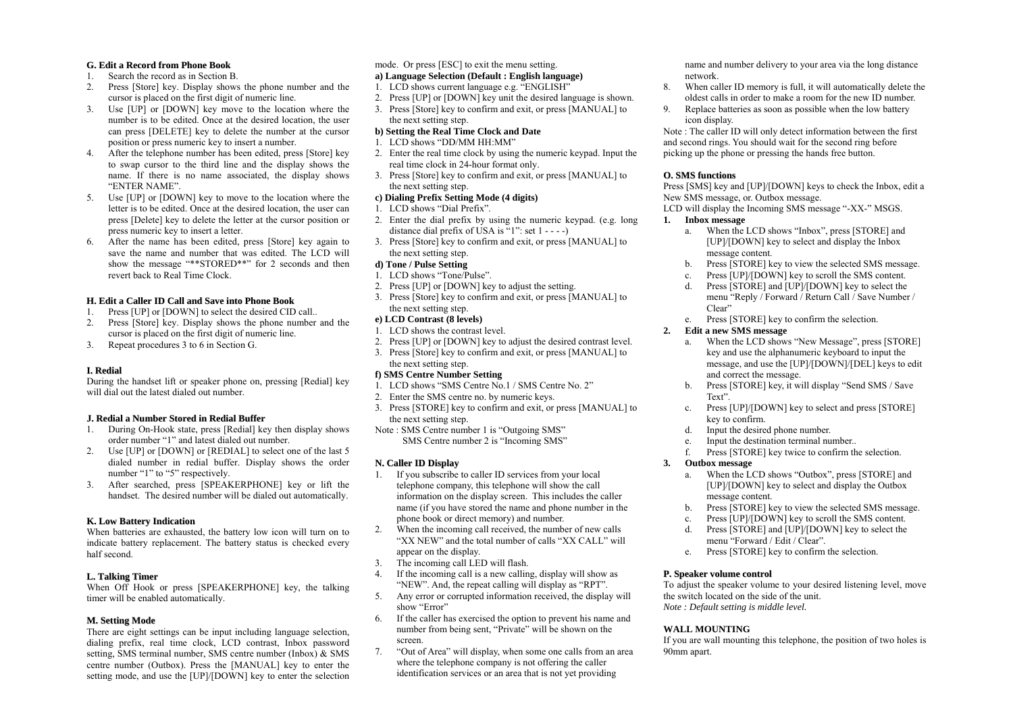### **G. Edit <sup>a</sup> Record fromPhone Book**

- 1.Search the record as in Section B.
- 2. Press [Store] key. Display shows the phone number and the cursor is placed on the first digit of numeric line.
- 3. Use [UP] or [DOWN] key move to the location where the number is to be edited. Once at the desired location, the user can press [DELETE] key to delete the number at the cursor position or press numeric key to insert a number.
- 4. After the telephone number has been edited, press [Store] key to swap cursor to the third line and the display shows the name. If there is no name associated, the display shows "ENTER NAME".
- 5. Use [UP] or [DOWN] key to move to the location where the letter is to be edited. Once at the desired location, the user can press [Delete] key to delete the letter at the cursor position or press numeric key to insert a letter.
- 6. After the name has been edited, press [Store] key again to save the name and number that was edited. The LCD will show the message "\*\*STORED\*\*" for 2 seconds and then revert back to Real Time Clock.

## **H. Edit <sup>a</sup> Caller IDCall and Save into Phone Book**

- Press [UP] or [DOWN] to select the desired CID call.. 1.
- 2. Press [Store] key. Display shows the phone number and the cursor is placed on the first digit of numeric line.
- 3.Repeat procedures 3 to 6 in Section G.

## **I. Redial**

During the handset lift or speaker phone on, pressing [Redial] key will dial out the latest dialed out number.

#### **J. Redial <sup>a</sup> Number Stored in Redial Buffer**

- 1. During On-Hook state, press [Redial] key then display shows order number "1" and latest dialed out number.
- 2. Use [UP] or [DOWN] or [REDIAL] to select one of the last 5 dialed number in redial buffer. Display shows the order number "1" to "5" respectively.
- 3. After searched, press [SPEAKERPHONE] key or lift the handset. The desired number will be dialed out automatically.

## **K. LowBattery Indication**

 When batteries are exhausted, the battery low icon will turn on to indicate battery replacement. The battery status is checked every half second.

## **L. Talking Timer**

When Off Hook or press [SPEAKERPHONE] key, the talking timer will be enabled automatically.

## **M. Setting Mode**

There are eight settings can be input including language selection, dialing prefix, real time clock, LCD contrast, Inbox password setting, SMS terminal number, SMS centre number (Inbox) & SMS centre number (Outbox). Press the [MANUAL] key to enter the setting mode, and use the [UP]/[DOWN] key to enter the selection

# mode. Or press [ESC] to exit the menu setting.

### **a) Language Selection (Default : English language)**

- 1. LCD shows current language e.g. "ENGLISH"
- 2. Press [UP] or [DOWN] key unit the desired language is shown.
- 3. Press [Store] key to confirm and exit, or press [MANUAL] to the next setting step.

### **b) Setting the Real Time Clock and Date**

- 1. LCD shows "DD/MM HH:MM"
- 2. Enter the real time clock by using the numeric keypad. Input the real time clock in 24-hour format only.
- 3. Press [Store] key to confirm and exit, or press [MANUAL] to the next setting step.

### **c) Dialing Prefix Setting Mode (4 digits)**

- 1. LCD shows "Dial Prefix".
- 2. Enter the dial prefix by using the numeric keypad. (e.g. long distance dial prefix of USA is  $(1)$ : set  $1 - (-)$
- 3. Press [Store] key to confirm and exit, or press [MANUAL] to the next setting step.

### **d) Tone / Pulse Setting**

- 1. LCD shows "Tone/Pulse".
- 2. Press [UP] or [DOWN] key to adjust the setting.
- 3. Press [Store] key to confirm and exit, or press [MANUAL] to the next setting step.

# **e) LCD Contrast (8 levels)**

- 1. LCD shows the contrast level.
- 2. Press [UP] or [DOWN] key to adjust the desired contrast level.
- 3. Press [Store] key to confirm and exit, or press [MANUAL] to the next setting step.

## **f) SMS Centre Number Setting**

- 1. LCD shows "SMS Centre No.1 / SMS Centre No. 2"
- 2. Enter the SMS centre no. by numeric keys.
- 3. Press [STORE] key to confirm and exit, or press [MANUAL] to the next setting step.
- Note : SMS Centre number 1 is "Outgoing SMS" SMS Centre number 2 is "Incoming SMS"

## **N. Caller IDDisplay**

- 1. If you subscribe to caller ID services from your local telephone company, this telephone will show the call information on the display screen. This includes the caller name (if you have stored the name and phone number in the phone book or direct memory) and number.
- 2. When the incoming call received, the number of new calls "XX NEW" and the total number of calls "XX CALL" will appear on the display.
- 3.The incoming call LED will flash.
- 4. If the incoming call is a new calling, display will show as "NEW". And, the repeat calling will display as "RPT".
- 5. Any error or corrupted information received, the display will show "Error"
- 6. If the caller has exercised the option to prevent his name and number from being sent, "Private" will be shown on the screen.
- 7. "Out of Area" will display, when some one calls from an area where the telephone company is not offering the caller identification services or an area that is not yet providing

name and number delivery to your area via the long distance network.

- 8. When caller ID memory is full, it will automatically delete the oldest calls in order to make a room for the new ID number.
- 9. Replace batteries as soon as possible when the low battery icon display.

Note : The caller ID will only detect information between the first and second rings. You should wait for the second ring before picking up the phone or pressing the hands free button.

### **O. SMS functions**

Press [SMS] key and [UP]/[DOWN] keys to check the Inbox, edit a New SMS message, or. Outbox message.

LCD will display the Incoming SMS message "-XX-" MSGS.

### **1. Inbox message**

- a. When the LCD shows "Inbox", press [STORE] and [UP]/[DOWN] key to select and display the Inbox message content.
- b. Press [STORE] key to view the selected SMS message.
- c.Press [UP]/[DOWN] key to scroll the SMS content.
- d. Press [STORE] and [UP]/[DOWN] key to select the menu "Reply / Forward / Return Call / Save Number / Clear"
- e. Press [STORE] key to confirm the selection.

## **2. Edit a new SMS message**

- a. When the LCD shows "New Message", press [STORE] key and use the alphanumeric keyboard to input the message, and use the [UP]/[DOWN]/[DEL] keys to edit and correct the message.
- b. Press [STORE] key, it will display "Send SMS / Save Text".
- c. Press [UP]/[DOWN] key to select and press [STORE] key to confirm.
- d.Input the desired phone number.
- e.Input the destination terminal number..
- f.Press [STORE] key twice to confirm the selection.

## **3. Outbox message**

- a. When the LCD shows "Outbox", press [STORE] and [UP]/[DOWN] key to select and display the Outbox message content.
- b.Press [STORE] key to view the selected SMS message.
- c.Press [UP]/[DOWN] key to scroll the SMS content.
- d.Press [STORE] and [UP]/[DOWN] key to select the menu "Forward / Edit / Clear".
- e.Press [STORE] key to confirm the selection.

## **P. Speaker volume control**

To adjust the speaker volume to your desired listening level, move the switch located on the side of the unit. *Note : Default setting is middle level.* 

## **WALL MOUNTING**

If you are wall mounting this telephone, the position of two holes is 90mm apart.